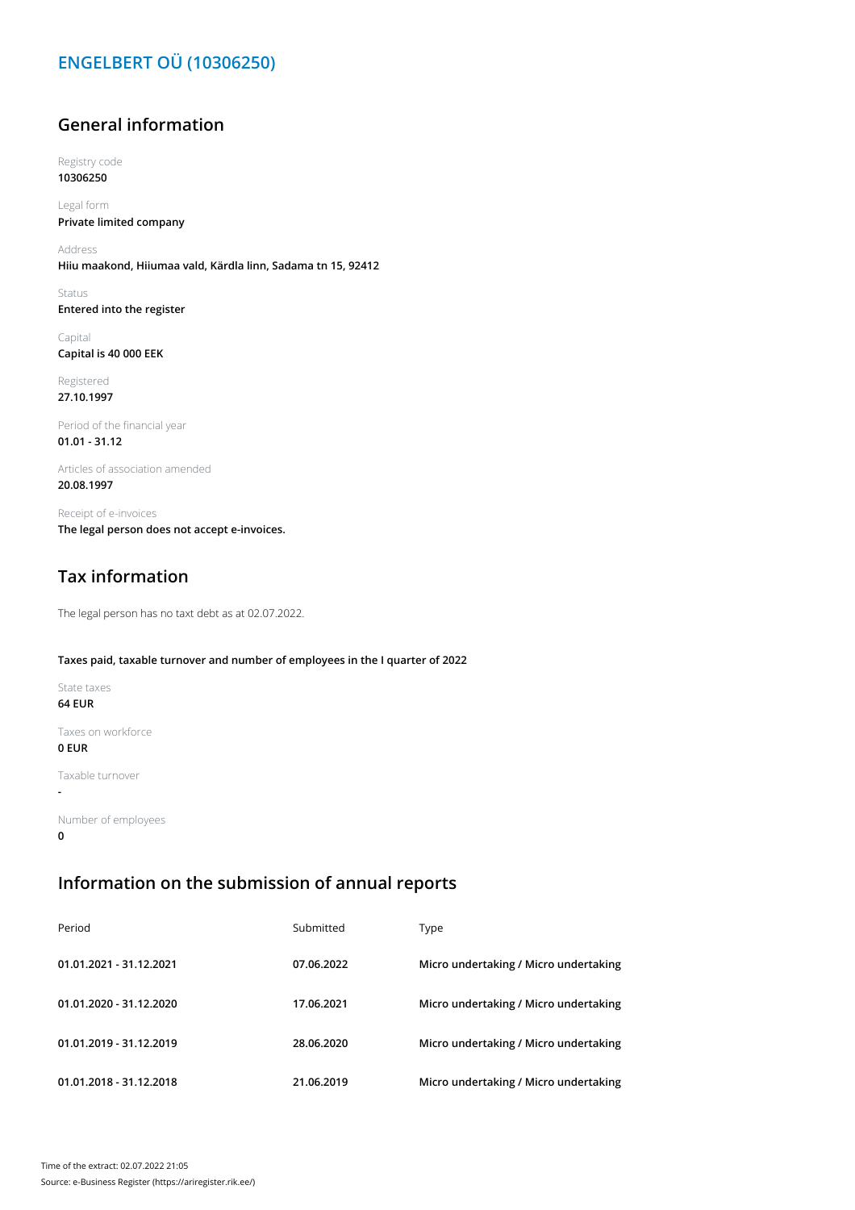# **ENGELBERT OÜ (10306250)**

## **General information**

Registry code **10306250**

Legal form **Private limited company**

Address **Hiiu maakond, Hiiumaa vald, Kärdla linn, Sadama tn 15, 92412**

Status **Entered into the register**

Capital **Capital is 40 000 EEK**

Registered **27.10.1997**

Period of the financial year **01.01 - 31.12**

Articles of association amended **20.08.1997**

Receipt of e-invoices **The legal person does not accept e-invoices.**

# **Tax information**

The legal person has no taxt debt as at 02.07.2022.

#### **Taxes paid, taxable turnover and number of employees in the I quarter of 2022**

State taxes

**64 EUR**

**-**

Taxes on workforce **0 EUR**

Taxable turnover

Number of employees **0**

### **Information on the submission of annual reports**

| Period                  | Submitted  | Type                                  |
|-------------------------|------------|---------------------------------------|
| 01.01.2021 - 31.12.2021 | 07.06.2022 | Micro undertaking / Micro undertaking |
| 01.01.2020 - 31.12.2020 | 17.06.2021 | Micro undertaking / Micro undertaking |
| 01.01.2019 - 31.12.2019 | 28.06.2020 | Micro undertaking / Micro undertaking |
| 01.01.2018 - 31.12.2018 | 21.06.2019 | Micro undertaking / Micro undertaking |